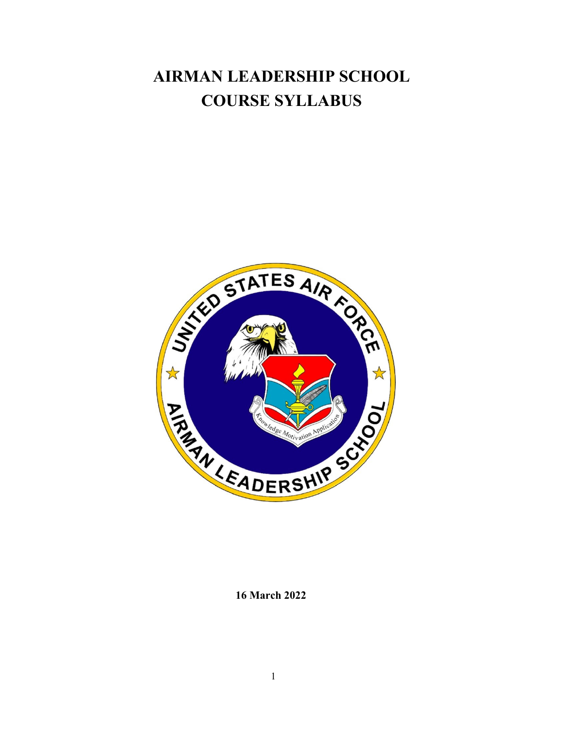# **AIRMAN LEADERSHIP SCHOOL COURSE SYLLABUS**



**16 March 2022**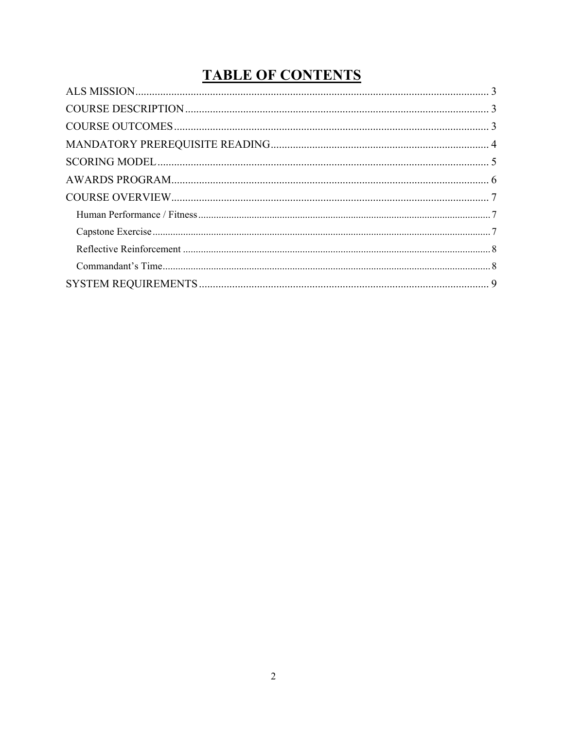# **TABLE OF CONTENTS**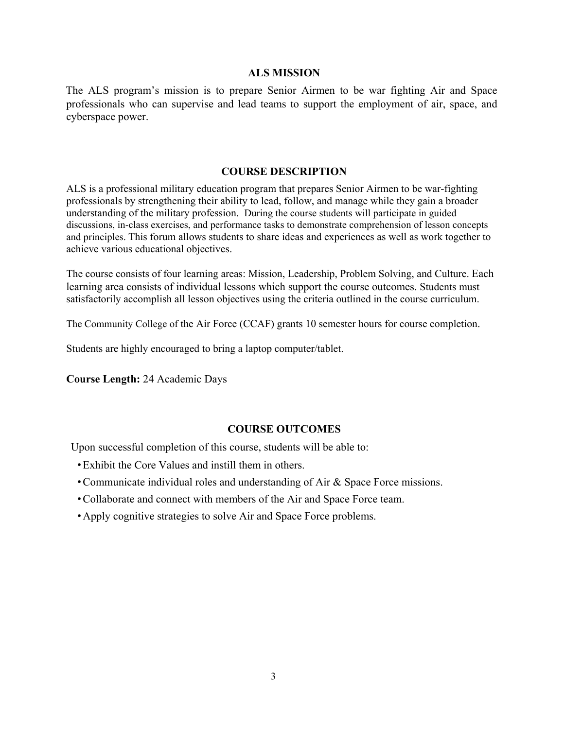#### **ALS MISSION**

The ALS program's mission is to prepare Senior Airmen to be war fighting Air and Space professionals who can supervise and lead teams to support the employment of air, space, and cyberspace power.

#### **COURSE DESCRIPTION**

ALS is a professional military education program that prepares Senior Airmen to be war-fighting professionals by strengthening their ability to lead, follow, and manage while they gain a broader understanding of the military profession. During the course students will participate in guided discussions, in-class exercises, and performance tasks to demonstrate comprehension of lesson concepts and principles. This forum allows students to share ideas and experiences as well as work together to achieve various educational objectives.

The course consists of four learning areas: Mission, Leadership, Problem Solving, and Culture. Each learning area consists of individual lessons which support the course outcomes. Students must satisfactorily accomplish all lesson objectives using the criteria outlined in the course curriculum.

The Community College of the Air Force (CCAF) grants 10 semester hours for course completion.

Students are highly encouraged to bring a laptop computer/tablet.

**Course Length:** 24 Academic Days

#### **COURSE OUTCOMES**

Upon successful completion of this course, students will be able to:

- Exhibit the Core Values and instill them in others.
- Communicate individual roles and understanding of Air & Space Force missions.
- Collaborate and connect with members of the Air and Space Force team.
- Apply cognitive strategies to solve Air and Space Force problems.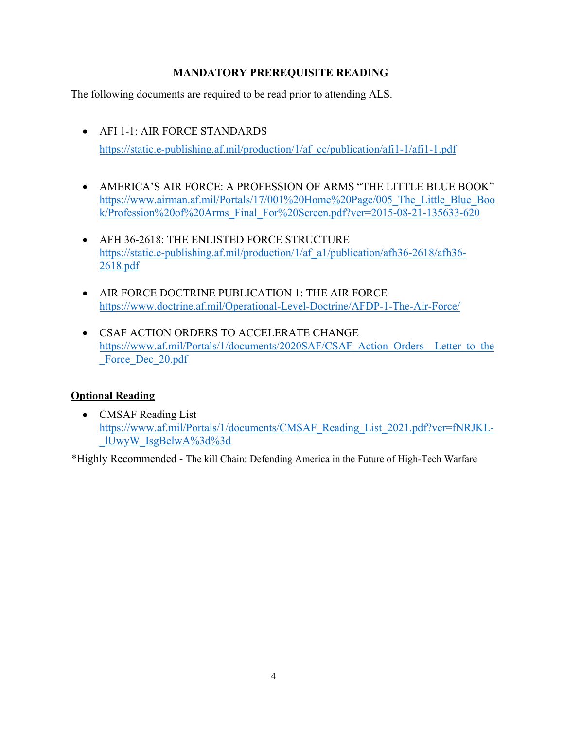# **MANDATORY PREREQUISITE READING**

The following documents are required to be read prior to attending ALS.

- AFI 1-1: AIR FORCE STANDARDS https://static.e-publishing.af.mil/production/1/af\_cc/publication/afi1-1/afi1-1.pdf
- AMERICA'S AIR FORCE: A PROFESSION OF ARMS "THE LITTLE BLUE BOOK" https://www.airman.af.mil/Portals/17/001%20Home%20Page/005\_The\_Little\_Blue\_Boo k/Profession%20of%20Arms\_Final\_For%20Screen.pdf?ver=2015-08-21-135633-620
- AFH 36-2618: THE ENLISTED FORCE STRUCTURE https://static.e-publishing.af.mil/production/1/af\_a1/publication/afh36-2618/afh36- 2618.pdf
- AIR FORCE DOCTRINE PUBLICATION 1: THE AIR FORCE https://www.doctrine.af.mil/Operational-Level-Doctrine/AFDP-1-The-Air-Force/
- CSAF ACTION ORDERS TO ACCELERATE CHANGE https://www.af.mil/Portals/1/documents/2020SAF/CSAF\_Action\_Orders\_\_Letter\_to\_the Force Dec 20.pdf

# **Optional Reading**

• CMSAF Reading List https://www.af.mil/Portals/1/documents/CMSAF\_Reading\_List\_2021.pdf?ver=fNRJKL- \_lUwyW\_IsgBelwA%3d%3d

\*Highly Recommended - The kill Chain: Defending America in the Future of High-Tech Warfare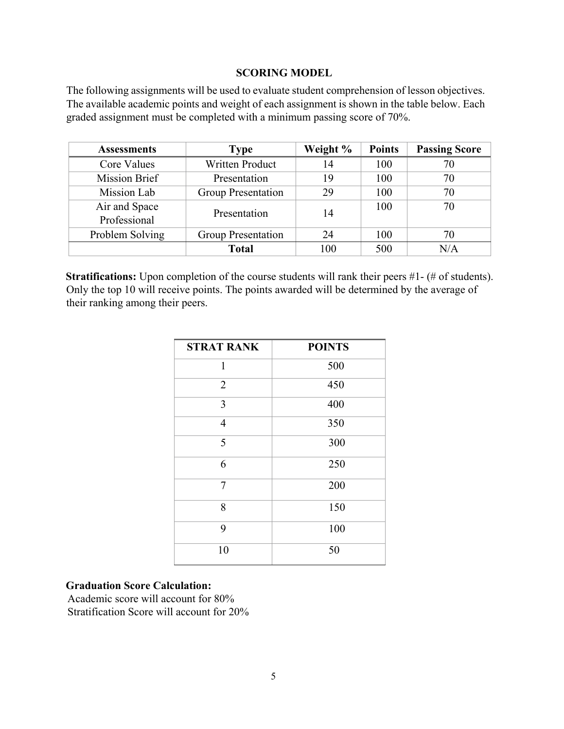#### **SCORING MODEL**

The following assignments will be used to evaluate student comprehension of lesson objectives. The available academic points and weight of each assignment is shown in the table below. Each graded assignment must be completed with a minimum passing score of 70%.

| <b>Assessments</b>            | <b>Type</b>               | Weight % | <b>Points</b> | <b>Passing Score</b> |
|-------------------------------|---------------------------|----------|---------------|----------------------|
| Core Values                   | <b>Written Product</b>    | 14       | 100           |                      |
| Mission Brief                 | Presentation              | 19       | 100           | 70                   |
| Mission Lab                   | <b>Group Presentation</b> | 29       | 100           | 70                   |
| Air and Space<br>Professional | Presentation              | 14       | 100           | 70                   |
| Problem Solving               | Group Presentation        | 24       | 100           | 70                   |
|                               | <b>Total</b>              | 100      | 500           | N/A                  |

**Stratifications:** Upon completion of the course students will rank their peers #1- (# of students). Only the top 10 will receive points. The points awarded will be determined by the average of their ranking among their peers.

| <b>STRAT RANK</b> | <b>POINTS</b> |
|-------------------|---------------|
| 1                 | 500           |
| $\overline{2}$    | 450           |
| 3                 | 400           |
| $\overline{4}$    | 350           |
| 5                 | 300           |
| 6                 | 250           |
| $\overline{7}$    | 200           |
| 8                 | 150           |
| 9                 | 100           |
| 10                | 50            |

#### **Graduation Score Calculation:**

Academic score will account for 80% Stratification Score will account for 20%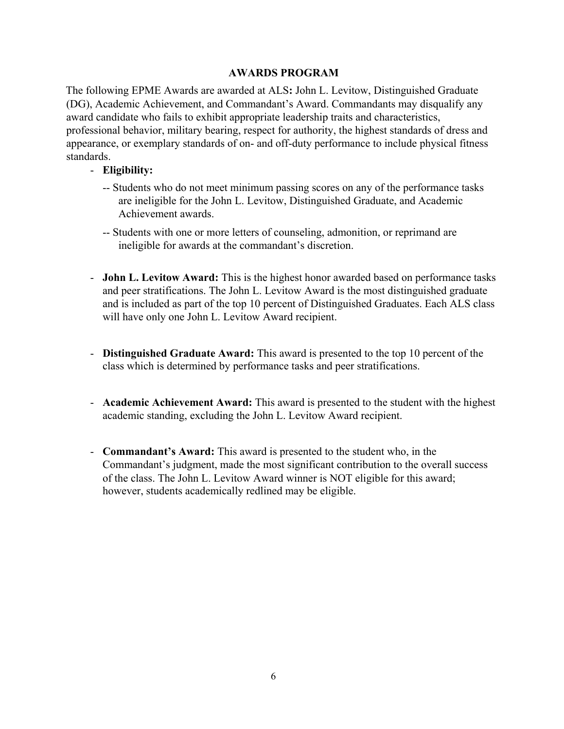# **AWARDS PROGRAM**

The following EPME Awards are awarded at ALS**:** John L. Levitow, Distinguished Graduate (DG), Academic Achievement, and Commandant's Award. Commandants may disqualify any award candidate who fails to exhibit appropriate leadership traits and characteristics, professional behavior, military bearing, respect for authority, the highest standards of dress and appearance, or exemplary standards of on- and off-duty performance to include physical fitness standards.

#### - **Eligibility:**

- -- Students who do not meet minimum passing scores on any of the performance tasks are ineligible for the John L. Levitow, Distinguished Graduate, and Academic Achievement awards.
- -- Students with one or more letters of counseling, admonition, or reprimand are ineligible for awards at the commandant's discretion.
- **John L. Levitow Award:** This is the highest honor awarded based on performance tasks and peer stratifications. The John L. Levitow Award is the most distinguished graduate and is included as part of the top 10 percent of Distinguished Graduates. Each ALS class will have only one John L. Levitow Award recipient.
- **Distinguished Graduate Award:** This award is presented to the top 10 percent of the class which is determined by performance tasks and peer stratifications.
- **Academic Achievement Award:** This award is presented to the student with the highest academic standing, excluding the John L. Levitow Award recipient.
- **Commandant's Award:** This award is presented to the student who, in the Commandant's judgment, made the most significant contribution to the overall success of the class. The John L. Levitow Award winner is NOT eligible for this award; however, students academically redlined may be eligible.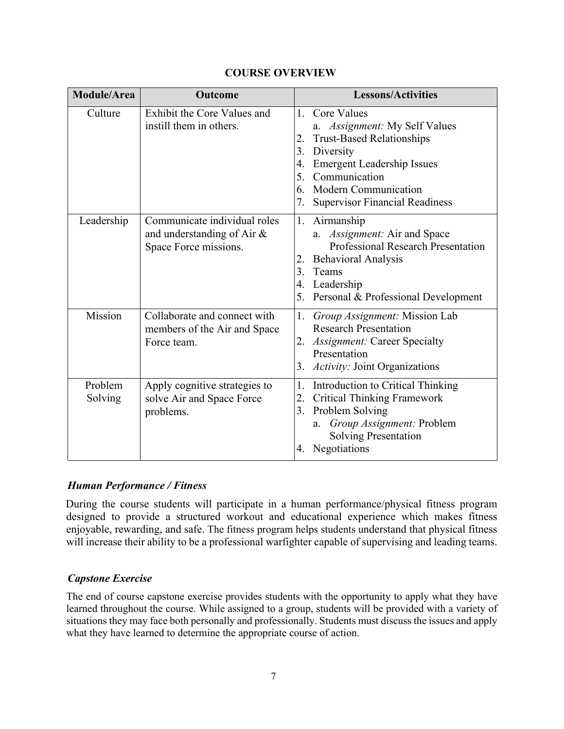|  | <b>COURSE OVERVIEW</b> |
|--|------------------------|
|--|------------------------|

| Module/Area        | Outcome                                                                                | <b>Lessons/Activities</b>                                                                                                                                                                                                                                             |
|--------------------|----------------------------------------------------------------------------------------|-----------------------------------------------------------------------------------------------------------------------------------------------------------------------------------------------------------------------------------------------------------------------|
| Culture            | Exhibit the Core Values and<br>instill them in others.                                 | Core Values<br>1.<br>a. Assignment: My Self Values<br><b>Trust-Based Relationships</b><br>2.<br>3.<br>Diversity<br><b>Emergent Leadership Issues</b><br>4.<br>5.<br>Communication<br><b>Modern Communication</b><br>6.<br>7.<br><b>Supervisor Financial Readiness</b> |
| Leadership         | Communicate individual roles<br>and understanding of Air $\&$<br>Space Force missions. | 1.<br>Airmanship<br>Assignment: Air and Space<br>a.<br><b>Professional Research Presentation</b><br><b>Behavioral Analysis</b><br>2.<br>3.<br>Teams<br>Leadership<br>4.<br>5.<br>Personal & Professional Development                                                  |
| Mission            | Collaborate and connect with<br>members of the Air and Space<br>Force team.            | Group Assignment: Mission Lab<br>1.<br><b>Research Presentation</b><br><b>Assignment: Career Specialty</b><br>2.<br>Presentation<br>Activity: Joint Organizations<br>3.                                                                                               |
| Problem<br>Solving | Apply cognitive strategies to<br>solve Air and Space Force<br>problems.                | Introduction to Critical Thinking<br>1.<br><b>Critical Thinking Framework</b><br>2.<br>Problem Solving<br>3.<br>Group Assignment: Problem<br>a.<br><b>Solving Presentation</b><br>Negotiations<br>4.                                                                  |

#### *Human Performance / Fitness*

During the course students will participate in a human performance/physical fitness program designed to provide a structured workout and educational experience which makes fitness enjoyable, rewarding, and safe. The fitness program helps students understand that physical fitness will increase their ability to be a professional warfighter capable of supervising and leading teams.

# *Capstone Exercise*

The end of course capstone exercise provides students with the opportunity to apply what they have learned throughout the course. While assigned to a group, students will be provided with a variety of situations they may face both personally and professionally. Students must discuss the issues and apply what they have learned to determine the appropriate course of action.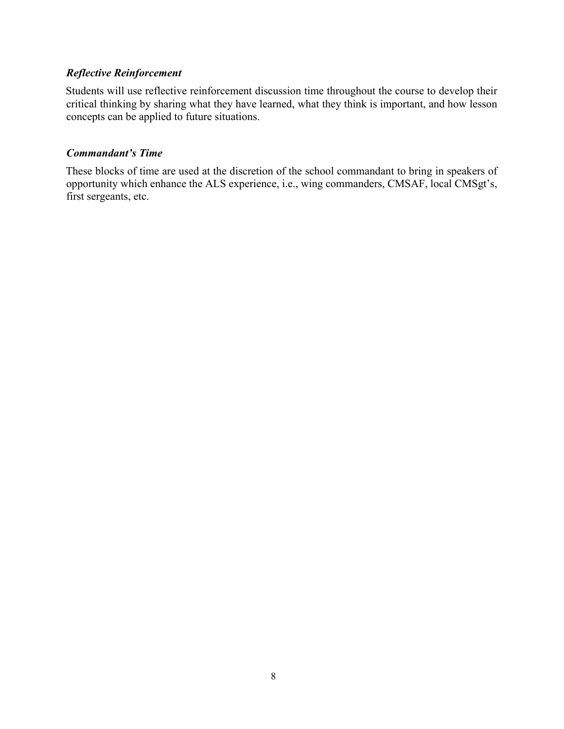# *Reflective Reinforcement*

Students will use reflective reinforcement discussion time throughout the course to develop their critical thinking by sharing what they have learned, what they think is important, and how lesson concepts can be applied to future situations.

#### *Commandant's Time*

These blocks of time are used at the discretion of the school commandant to bring in speakers of opportunity which enhance the ALS experience, i.e., wing commanders, CMSAF, local CMSgt's, first sergeants, etc.